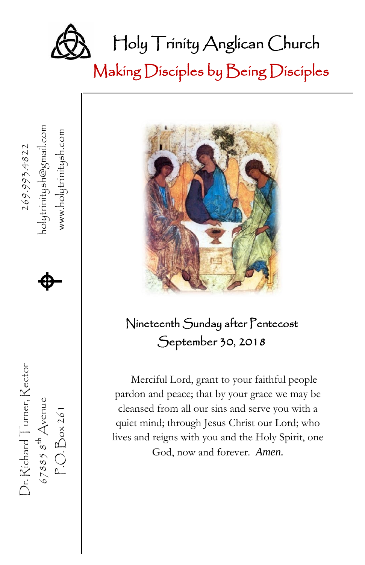

Making Disciples by Being Disciples





#### Nineteenth Sunday after Pentecost September 30, 2018

Merciful Lord, grant to your faithful people pardon and peace; that by your grace we may be cleansed from all our sins and serve you with a quiet mind; through Jesus Christ our Lord; who lives and reigns with you and the Holy Spirit, one God, now and forever. *Amen.*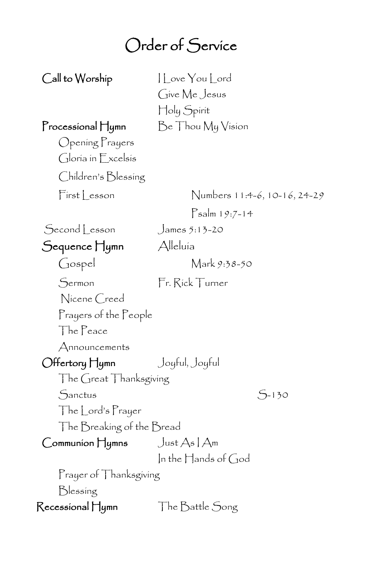#### Order of Service

Call to Worship I Love You Lord Give Me Jesus Holy Spirit Processional Hymn Be Thou My Vision

Opening Prayers Gloria in Excelsis Children's Blessing

First Lesson Numbers 11:4-6, 10-16, 24-29

Psalm 19:7-14

Second Lesson James 5:13-20

Sequence Hymn Alleluía

Gospel Mark 9:38-50

Sermon Fr. Rick Turner Nicene Creed Prayers of the People

The Peace

Announcements

Offertory Hymn Joyful, Joyful

The Lord's Prayer

The Great Thanksgiving

Sanctus S-130

The Breaking of the Bread

Communion  $\Box$ ust As | Am

In the Hands of God Prayer of Thanksgiving

Blessing

Recessional Hymn The Battle Song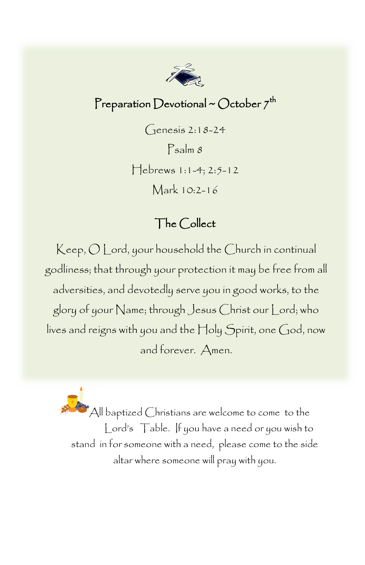

#### Preparation Devotional ~ October  $7^{\sf th}$

 $G$ enesis 2:18-24 Psalm 8 Hebrews 1:1-4; 2:5-12 Mark 10:2-16

#### The Collect

Keep, O Lord, your household the Church in continual godliness; that through your protection it may be free from all adversities, and devotedly serve you in good works, to the glory of your Name; through Jesus Christ our Lord; who lives and reigns with you and the Holy Spirit, one God, now and forever. Amen.

All baptized Christians are welcome to come to the Lord's Table. If you have a need or you wish to stand in for someone with a need, please come to the side altar where someone will pray with you.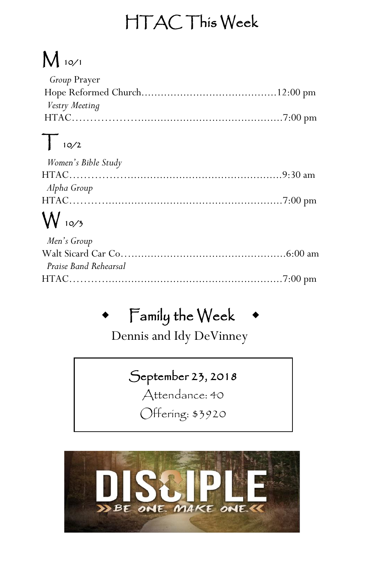## HTAC This Week

# $M$  10/1

| <i>Group</i> Prayer |  |
|---------------------|--|
|                     |  |
| Vestry Meeting      |  |
|                     |  |

## $T_{10/2}$

| Women's Bible Study |  |
|---------------------|--|
|                     |  |
| Alpha Group         |  |
|                     |  |

## $W_{10/3}$

| Men's Group           |  |
|-----------------------|--|
|                       |  |
| Praise Band Rehearsal |  |
|                       |  |

## Family the Week

Dennis and Idy DeVinney

#### September 23, 2018

Attendance: 40

Offering: \$3920

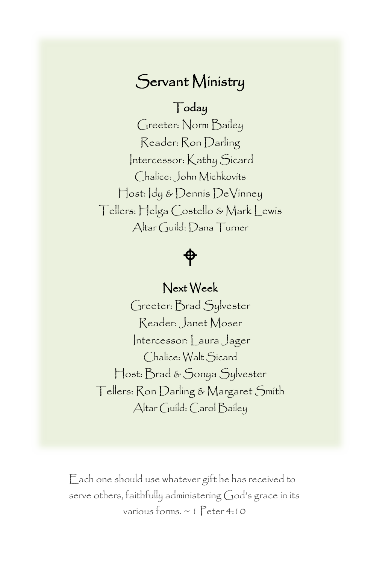### Servant Ministry

### Today

-<br>Reader: Ron Darling Intercessor: Kathy Sicard Host: Idy & Dennis DeVinney Altar Guild: Dana Turner Greeter: Norm Bailey Chalice: John Michkovits Tellers: Helga Costello & Mark Lewis

### ⊕

#### Next Week

 Greeter: Brad Sylvester Intercessor: Laura Jager Reader: Janet Moser Chalice: Walt Sicard Host: Brad & Sonya Sylvester Tellers: Ron Darling & Margaret Smith Altar Guild: Carol Bailey

Each one should use whatever gift he has received to serve others, faithfully administering God's grace in its various forms. ~ 1 Peter 4:10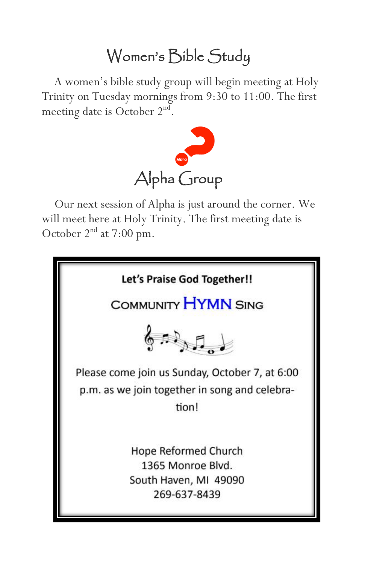## Women's Bible Study

 A women's bible study group will begin meeting at Holy Trinity on Tuesday mornings from 9:30 to 11:00. The first meeting date is October  $2<sup>nd</sup>$ .



 Our next session of Alpha is just around the corner. We will meet here at Holy Trinity. The first meeting date is October 2<sup>nd</sup> at 7:00 pm.

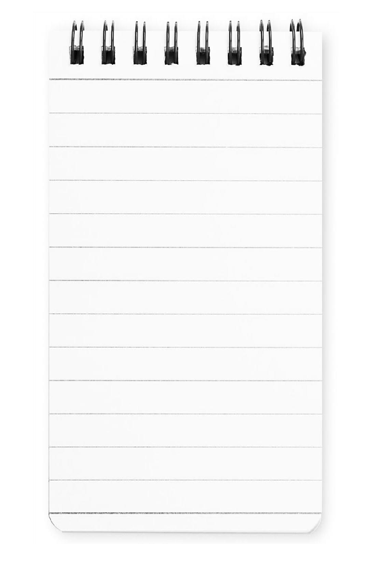|  |  |  | $\frac{1}{2}$ | $\begin{picture}(20,20) \put(0,0){\line(1,0){155}} \put(15,0){\line(1,0){155}} \put(15,0){\line(1,0){155}} \put(15,0){\line(1,0){155}} \put(15,0){\line(1,0){155}} \put(15,0){\line(1,0){155}} \put(15,0){\line(1,0){155}} \put(15,0){\line(1,0){155}} \put(15,0){\line(1,0){155}} \put(15,0){\line(1,0){155}} \put(15,0){\line(1,0){155}} \$ |
|--|--|--|---------------|-----------------------------------------------------------------------------------------------------------------------------------------------------------------------------------------------------------------------------------------------------------------------------------------------------------------------------------------------|
|  |  |  |               |                                                                                                                                                                                                                                                                                                                                               |
|  |  |  |               |                                                                                                                                                                                                                                                                                                                                               |
|  |  |  |               |                                                                                                                                                                                                                                                                                                                                               |
|  |  |  |               |                                                                                                                                                                                                                                                                                                                                               |
|  |  |  |               |                                                                                                                                                                                                                                                                                                                                               |
|  |  |  |               |                                                                                                                                                                                                                                                                                                                                               |
|  |  |  |               |                                                                                                                                                                                                                                                                                                                                               |
|  |  |  |               |                                                                                                                                                                                                                                                                                                                                               |
|  |  |  |               |                                                                                                                                                                                                                                                                                                                                               |
|  |  |  |               |                                                                                                                                                                                                                                                                                                                                               |